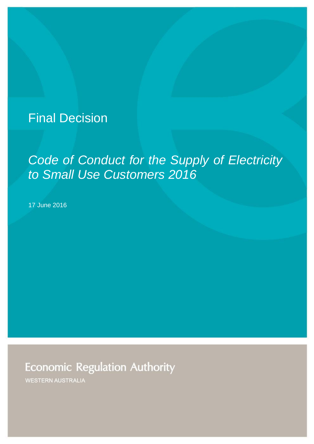# Final Decision

# *Code of Conduct for the Supply of Electricity to Small Use Customers 2016*

17 June 2016

**Economic Regulation Authority** 

**WESTERN AUSTRALIA**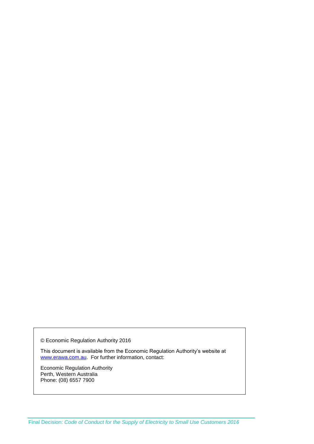© Economic Regulation Authority 2016

This document is available from the Economic Regulation Authority's website at [www.erawa.com.au.](http://www.erawa.com.au/) For further information, contact:

Economic Regulation Authority Perth, Western Australia Phone: (08) 6557 7900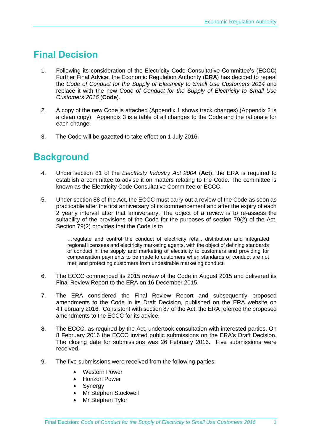## **Final Decision**

- 1. Following its consideration of the Electricity Code Consultative Committee's (**ECCC**) Further Final Advice, the Economic Regulation Authority (**ERA**) has decided to repeal the *Code of Conduct for the Supply of Electricity to Small Use Customers 2014* and replace it with the new *Code of Conduct for the Supply of Electricity to Small Use Customers 2016* (**Code**).
- 2. A copy of the new Code is attached (Appendix 1 shows track changes) (Appendix 2 is a clean copy). Appendix 3 is a table of all changes to the Code and the rationale for each change.
- 3. The Code will be gazetted to take effect on 1 July 2016.

### **Background**

- 4. Under section 81 of the *Electricity Industry Act 2004* (**Act**), the ERA is required to establish a committee to advise it on matters relating to the Code. The committee is known as the Electricity Code Consultative Committee or ECCC.
- 5. Under section 88 of the Act, the ECCC must carry out a review of the Code as soon as practicable after the first anniversary of its commencement and after the expiry of each 2 yearly interval after that anniversary. The object of a review is to re-assess the suitability of the provisions of the Code for the purposes of section 79(2) of the Act. Section 79(2) provides that the Code is to

…regulate and control the conduct of electricity retail, distribution and integrated regional licensees and electricity marketing agents, with the object of defining standards of conduct in the supply and marketing of electricity to customers and providing for compensation payments to be made to customers when standards of conduct are not met; and protecting customers from undesirable marketing conduct.

- 6. The ECCC commenced its 2015 review of the Code in August 2015 and delivered its Final Review Report to the ERA on 16 December 2015.
- 7. The ERA considered the Final Review Report and subsequently proposed amendments to the Code in its Draft Decision, published on the ERA website on 4 February 2016. Consistent with section 87 of the Act, the ERA referred the proposed amendments to the ECCC for its advice.
- 8. The ECCC, as required by the Act, undertook consultation with interested parties. On 8 February 2016 the ECCC invited public submissions on the ERA's Draft Decision. The closing date for submissions was 26 February 2016. Five submissions were received.
- 9. The five submissions were received from the following parties:
	- Western Power
	- Horizon Power
	- Synergy
	- Mr Stephen Stockwell
	- Mr Stephen Tylor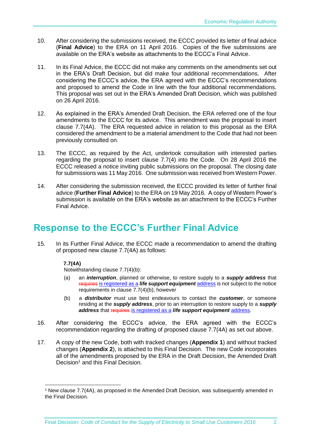- 10. After considering the submissions received, the ECCC provided its letter of final advice (**Final Advice**) to the ERA on 11 April 2016. Copies of the five submissions are available on the ERA's website as attachments to the ECCC's Final Advice.
- 11. In its Final Advice, the ECCC did not make any comments on the amendments set out in the ERA's Draft Decision, but did make four additional recommendations. After considering the ECCC's advice, the ERA agreed with the ECCC's recommendations and proposed to amend the Code in line with the four additional recommendations. This proposal was set out in the ERA's Amended Draft Decision, which was published on 26 April 2016.
- 12. As explained in the ERA's Amended Draft Decision, the ERA referred one of the four amendments to the ECCC for its advice. This amendment was the proposal to insert clause 7.7(4A). The ERA requested advice in relation to this proposal as the ERA considered the amendment to be a material amendment to the Code that had not been previously consulted on.
- 13. The ECCC, as required by the Act, undertook consultation with interested parties regarding the proposal to insert clause 7.7(4) into the Code. On 28 April 2016 the ECCC released a notice inviting public submissions on the proposal. The closing date for submissions was 11 May 2016. One submission was received from Western Power.
- 14. After considering the submission received, the ECCC provided its letter of further final advice (**Further Final Advice**) to the ERA on 19 May 2016. A copy of Western Power's submission is available on the ERA's website as an attachment to the ECCC's Further Final Advice.

#### **Response to the ECCC's Further Final Advice**

15. In its Further Final Advice, the ECCC made a recommendation to amend the drafting of proposed new clause 7.7(4A) as follows:

#### **7.7(4A)**

-

Notwithstanding clause 7.7(4)(b):

- (a) an *interruption*, planned or otherwise, to restore supply to a *supply address* that requires is registered as a *life support equipment* address is not subject to the notice requirements in clause 7.7(4)(b); however
- (b) a *distributor* must use best endeavours to contact the *customer*, or someone residing at the *supply address*, prior to an interruption to restore supply to a *supply address* that requires is registered as a *life support equipment* address.
- 16. After considering the ECCC's advice, the ERA agreed with the ECCC's recommendation regarding the drafting of proposed clause 7.7(4A) as set out above.
- 17. A copy of the new Code, both with tracked changes (**Appendix 1**) and without tracked changes (**Appendix 2**), is attached to this Final Decision. The new Code incorporates all of the amendments proposed by the ERA in the Draft Decision, the Amended Draft Decision<sup>1</sup> and this Final Decision.

<sup>1</sup> New clause 7.7(4A), as proposed in the Amended Draft Decision, was subsequently amended in the Final Decision.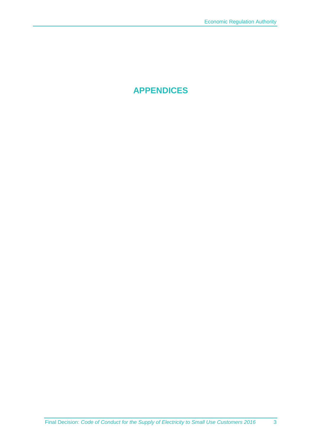**APPENDICES**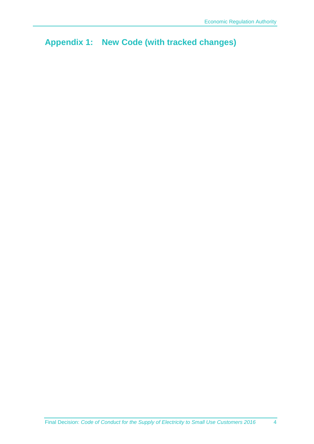**Appendix 1: New Code (with tracked changes)**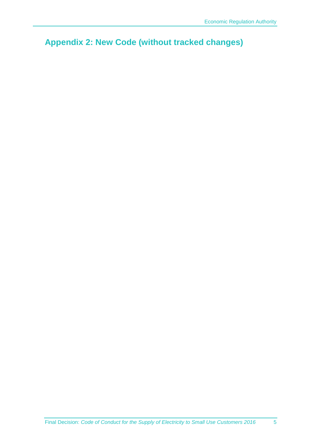**Appendix 2: New Code (without tracked changes)**